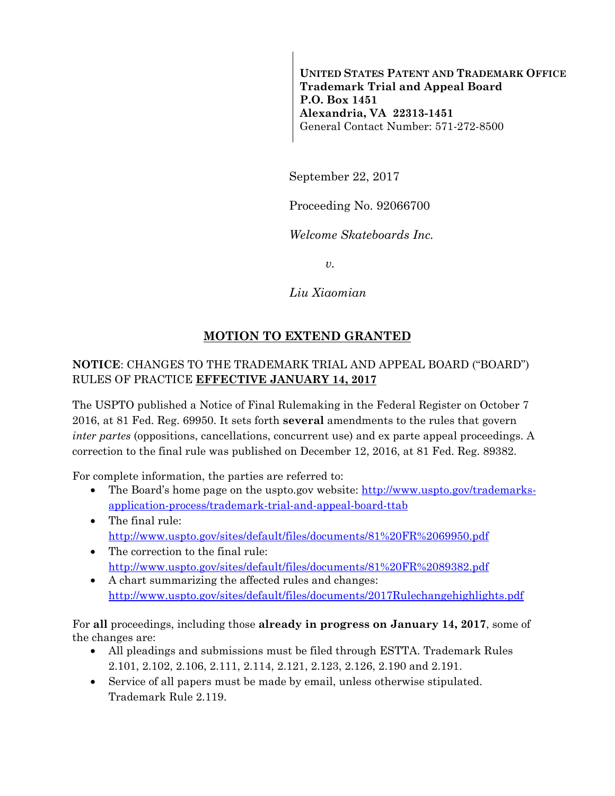**UNITED STATES PATENT AND TRADEMARK OFFICE Trademark Trial and Appeal Board P.O. Box 1451 Alexandria, VA 22313-1451**  General Contact Number: 571-272-8500

September 22, 2017

Proceeding No. 92066700

*Welcome Skateboards Inc.* 

*v.* 

*Liu Xiaomian* 

## **MOTION TO EXTEND GRANTED**

## **NOTICE**: CHANGES TO THE TRADEMARK TRIAL AND APPEAL BOARD ("BOARD") RULES OF PRACTICE **EFFECTIVE JANUARY 14, 2017**

The USPTO published a Notice of Final Rulemaking in the Federal Register on October 7 2016, at 81 Fed. Reg. 69950. It sets forth **several** amendments to the rules that govern *inter partes* (oppositions, cancellations, concurrent use) and ex parte appeal proceedings. A correction to the final rule was published on December 12, 2016, at 81 Fed. Reg. 89382.

For complete information, the parties are referred to:

- The Board's home page on the uspto.gov website: http://www.uspto.gov/trademarksapplication-process/trademark-trial-and-appeal-board-ttab
- The final rule: http://www.uspto.gov/sites/default/files/documents/81%20FR%2069950.pdf
- The correction to the final rule: http://www.uspto.gov/sites/default/files/documents/81%20FR%2089382.pdf
- A chart summarizing the affected rules and changes: http://www.uspto.gov/sites/default/files/documents/2017Rulechangehighlights.pdf

For **all** proceedings, including those **already in progress on January 14, 2017**, some of the changes are:

- All pleadings and submissions must be filed through ESTTA. Trademark Rules 2.101, 2.102, 2.106, 2.111, 2.114, 2.121, 2.123, 2.126, 2.190 and 2.191.
- Service of all papers must be made by email, unless otherwise stipulated. Trademark Rule 2.119.